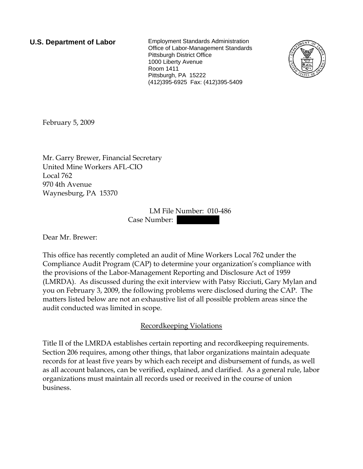**U.S. Department of Labor** Employment Standards Administration Office of Labor-Management Standards Pittsburgh District Office 1000 Liberty Avenue Room 1411 Pittsburgh, PA 15222 (412)395-6925 Fax: (412)395-5409



February 5, 2009

Mr. Garry Brewer, Financial Secretary United Mine Workers AFL-CIO Local 762 970 4th Avenue Waynesburg, PA 15370

> LM File Number: 010-486 Case Number:

Dear Mr. Brewer:

This office has recently completed an audit of Mine Workers Local 762 under the Compliance Audit Program (CAP) to determine your organization's compliance with the provisions of the Labor-Management Reporting and Disclosure Act of 1959 (LMRDA). As discussed during the exit interview with Patsy Ricciuti, Gary Mylan and you on February 3, 2009, the following problems were disclosed during the CAP. The matters listed below are not an exhaustive list of all possible problem areas since the audit conducted was limited in scope.

Recordkeeping Violations

Title II of the LMRDA establishes certain reporting and recordkeeping requirements. Section 206 requires, among other things, that labor organizations maintain adequate records for at least five years by which each receipt and disbursement of funds, as well as all account balances, can be verified, explained, and clarified. As a general rule, labor organizations must maintain all records used or received in the course of union business.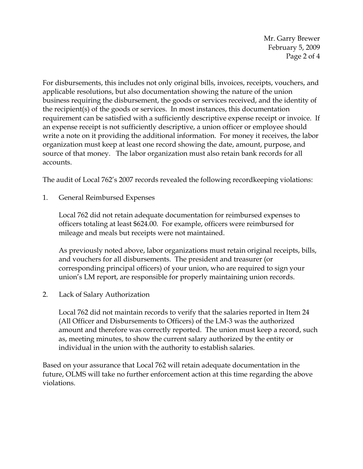Mr. Garry Brewer February 5, 2009 Page 2 of 4

For disbursements, this includes not only original bills, invoices, receipts, vouchers, and applicable resolutions, but also documentation showing the nature of the union business requiring the disbursement, the goods or services received, and the identity of the recipient(s) of the goods or services. In most instances, this documentation requirement can be satisfied with a sufficiently descriptive expense receipt or invoice. If an expense receipt is not sufficiently descriptive, a union officer or employee should write a note on it providing the additional information. For money it receives, the labor organization must keep at least one record showing the date, amount, purpose, and source of that money. The labor organization must also retain bank records for all accounts.

The audit of Local 762's 2007 records revealed the following recordkeeping violations:

1. General Reimbursed Expenses

Local 762 did not retain adequate documentation for reimbursed expenses to officers totaling at least \$624.00. For example, officers were reimbursed for mileage and meals but receipts were not maintained.

As previously noted above, labor organizations must retain original receipts, bills, and vouchers for all disbursements. The president and treasurer (or corresponding principal officers) of your union, who are required to sign your union's LM report, are responsible for properly maintaining union records.

2. Lack of Salary Authorization

Local 762 did not maintain records to verify that the salaries reported in Item 24 (All Officer and Disbursements to Officers) of the LM-3 was the authorized amount and therefore was correctly reported. The union must keep a record, such as, meeting minutes, to show the current salary authorized by the entity or individual in the union with the authority to establish salaries.

Based on your assurance that Local 762 will retain adequate documentation in the future, OLMS will take no further enforcement action at this time regarding the above violations.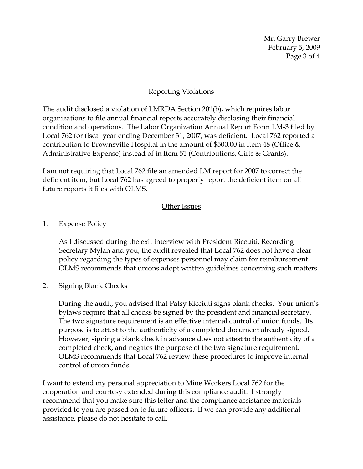Mr. Garry Brewer February 5, 2009 Page 3 of 4

## Reporting Violations

The audit disclosed a violation of LMRDA Section 201(b), which requires labor organizations to file annual financial reports accurately disclosing their financial condition and operations. The Labor Organization Annual Report Form LM-3 filed by Local 762 for fiscal year ending December 31, 2007, was deficient. Local 762 reported a contribution to Brownsville Hospital in the amount of \$500.00 in Item 48 (Office & Administrative Expense) instead of in Item 51 (Contributions, Gifts & Grants).

I am not requiring that Local 762 file an amended LM report for 2007 to correct the deficient item, but Local 762 has agreed to properly report the deficient item on all future reports it files with OLMS.

## Other Issues

1. Expense Policy

As I discussed during the exit interview with President Riccuiti, Recording Secretary Mylan and you, the audit revealed that Local 762 does not have a clear policy regarding the types of expenses personnel may claim for reimbursement. OLMS recommends that unions adopt written guidelines concerning such matters.

2. Signing Blank Checks

During the audit, you advised that Patsy Ricciuti signs blank checks. Your union's bylaws require that all checks be signed by the president and financial secretary. The two signature requirement is an effective internal control of union funds. Its purpose is to attest to the authenticity of a completed document already signed. However, signing a blank check in advance does not attest to the authenticity of a completed check, and negates the purpose of the two signature requirement. OLMS recommends that Local 762 review these procedures to improve internal control of union funds.

I want to extend my personal appreciation to Mine Workers Local 762 for the cooperation and courtesy extended during this compliance audit. I strongly recommend that you make sure this letter and the compliance assistance materials provided to you are passed on to future officers. If we can provide any additional assistance, please do not hesitate to call.